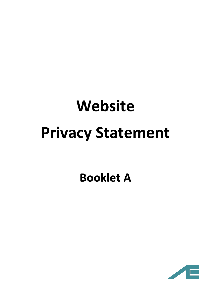# **Website Privacy Statement**

# **Booklet A**

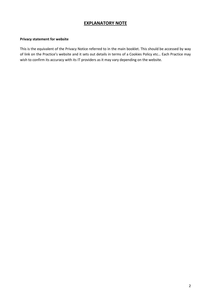# **EXPLANATORY NOTE**

## **Privacy statement for website**

This is the equivalent of the Privacy Notice referred to in the main booklet. This should be accessed by way of link on the Practice's website and it sets out details in terms of a Cookies Policy etc… Each Practice may wish to confirm its accuracy with its IT providers as it may vary depending on the website.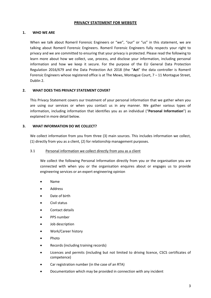# **PRIVACY STATEMENT FOR WEBSITE**

# **1. WHO WE ARE**

When we talk about Romeril Forensic Engineers or "we", "our" or "us" in this statement, we are talking about Romeril Forensic Engineers. Romeril Forensic Engineers fully respects your right to privacy and we are committed to ensuring that your privacy is protected. Please read the following to learn more about how we collect, use, process, and disclose your information, including personal information and how we keep it secure. For the purpose of the EU General Data Protection Regulation 2016/679 and the Data Protection Act 2018 (the "**Act**" the data controller is Romeril Forensic Engineers whose registered office is at The Mews, Montague Court, 7 – 11 Montague Street, Dublin 2.

# **2. WHAT DOES THIS PRIVACY STATEMENT COVER?**

This Privacy Statement covers our treatment of your personal information that we gather when you are using our services or when you contact us in any manner. We gather various types of information, including information that identifies you as an individual ("**Personal Information**") as explained in more detail below.

# **3. WHAT INFORMATION DO WE COLLECT?**

We collect information from you from three (3) main sources. This includes information we collect, (1) directly from you as a client, (2) for relationship management purposes.

### 3.1 Personal information we collect directly from you as a client

We collect the following Personal Information directly from you or the organisation you are connected with when you or the organisation enquires about or engages us to provide engineering services or an expert engineering opinion

- Name
- Address
- Date of birth
- Civil status
- Contact details
- PPS number
- Job description
- Work/Career history
- Photo
- Records (including training records)
- Licences and permits (including but not limited to driving licence, CSCS certificates of competence)
- Car registration number (in the case of an RTA)
- Documentation which may be provided in connection with any incident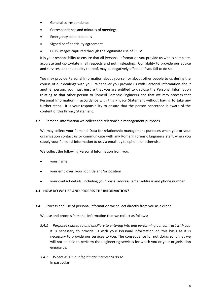- General correspondence
- Correspondence and minutes of meetings
- Emergency contact details
- Signed confidentiality agreement
- CCTV images captured through the legitimate use of CCTV

It is your responsibility to ensure that all Personal Information you provide us with is complete, accurate and up-to-date in all respects and not misleading. Our ability to provide our advice and services, and the quality thereof, may be negatively affected if you fail to do so.

You may provide Personal Information about yourself or about other people to us during the course of our dealings with you. Whenever you provide us with Personal Information about another person, you must ensure that you are entitled to disclose the Personal Information relating to that other person to Romeril Forensic Engineers and that we may process that Personal Information in accordance with this Privacy Statement without having to take any further steps. It is your responsibility to ensure that the person concerned is aware of the content of this Privacy Statement.

# 3.2 Personal information we collect and relationship management purposes

We may collect your Personal Data for relationship management purposes when you or your organisation contact us or communicate with any Romeril Forensic Engineers staff, when you supply your Personal Information to us via email, by telephone or otherwise.

We collect the following Personal Information from you:

- your name
- your employer, your job title and/or position
- your contact details, including your postal address, email address and phone number

# **3.3 HOW DO WE USE AND PROCESS THE INFORMATION?**

# 3.4 Process and use of personal information we collect directly from you as a client

We use and process Personal Information that we collect as follows:

- *3.4.1 Purposes related to and ancillary to entering into and performing our contract with you* It is necessary to provide us with your Personal Information on this basis as it is necessary to provide our services to you. The consequence for not doing so is that we will not be able to perform the engineering services for which you or your organisation engage us.
- *3.4.2 Where it is in our legitimate interest to do so* In particular: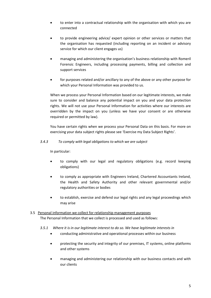- to enter into a contractual relationship with the organisation with which you are connected
- to provide engineering advice/ expert opinion or other services or matters that the organisation has requested (including reporting on an incident or advisory service for which our client engages us)
- managing and administering the organisation's business relationship with Romeril Forensic Engineers, including processing payments, billing and collection and support services
- for purposes related and/or ancillary to any of the above or any other purpose for which your Personal Information was provided to us.

When we process your Personal Information based on our legitimate interests, we make sure to consider and balance any potential impact on you and your data protection rights. We will not use your Personal Information for activities where our interests are overridden by the impact on you (unless we have your consent or are otherwise required or permitted by law).

You have certain rights when we process your Personal Data on this basis. For more on exercising your data subject rights please see 'Exercise my Data Subject Rights'.

# *3.4.3 To comply with legal obligations to which we are subject*

In particular:

- to comply with our legal and regulatory obligations (e.g. record keeping obligations)
- to comply as appropriate with Engineers Ireland, Chartered Accountants Ireland, the Health and Safety Authority and other relevant governmental and/or regulatory authorities or bodies
- to establish, exercise and defend our legal rights and any legal proceedings which may arise

# 3.5 Personal information we collect for relationship management purposes

The Personal Information that we collect is processed and used as follows:

# *3.5.1 Where it is in our legitimate interest to do so. We have legitimate interests in*

- conducting administrative and operational processes within our business
- protecting the security and integrity of our premises, IT systems, online platforms and other systems
- managing and administering our relationship with our business contacts and with our clients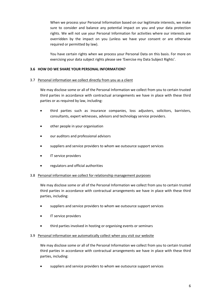When we process your Personal Information based on our legitimate interests, we make sure to consider and balance any potential impact on you and your data protection rights. We will not use your Personal Information for activities where our interests are overridden by the impact on you (unless we have your consent or are otherwise required or permitted by law).

You have certain rights when we process your Personal Data on this basis. For more on exercising your data subject rights please see 'Exercise my Data Subject Rights'.

# **3.6 HOW DO WE SHARE YOUR PERSONAL INFORMATION?**

# 3.7 Personal information we collect directly from you as a client

We may disclose some or all of the Personal Information we collect from you to certain trusted third parties in accordance with contractual arrangements we have in place with these third parties or as required by law, including:

- third parties such as insurance companies, loss adjusters, solicitors, barristers, consultants, expert witnesses, advisors and technology service providers.
- other people in your organisation
- our auditors and professional advisors
- suppliers and service providers to whom we outsource support services
- IT service providers
- regulators and official authorities

# 3.8 Personal information we collect for relationship management purposes

We may disclose some or all of the Personal Information we collect from you to certain trusted third parties in accordance with contractual arrangements we have in place with these third parties, including:

- suppliers and service providers to whom we outsource support services
- IT service providers
- third parties involved in hosting or organising events or seminars

# 3.9 Personal information we automatically collect when you visit our website

We may disclose some or all of the Personal Information we collect from you to certain trusted third parties in accordance with contractual arrangements we have in place with these third parties, including:

suppliers and service providers to whom we outsource support services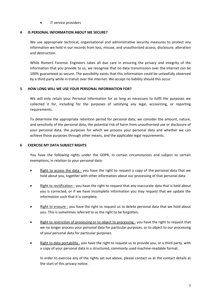IT service providers

# **4 IS PERSONAL INFORMATION ABOUT ME SECURE?**

We use appropriate technical, organisational and administrative security measures to protect any information we hold in our records from loss, misuse, and unauthorized access, disclosure, alteration and destruction.

While Romeril Forensic Engineers takes all due care in ensuring the privacy and integrity of the information that you provide to us, we recognise that no data transmission over the internet can be 100% guaranteed as secure. The possibility exists that this information could be unlawfully observed by a third party while in transit over the internet. We accept no liability should this occur.

# **5 HOW LONG WILL WE USE YOUR PERSONAL INFORMATION FOR?**

We will only retain your Personal Information for as long as necessary to fulfil the purposes we collected it for, including for the purposes of satisfying any legal, accounting, or reporting requirements.

To determine the appropriate retention period for personal data, we consider the amount, nature, and sensitivity of the personal data, the potential risk of harm from unauthorised use or disclosure of your personal data, the purposes for which we process your personal data and whether we can achieve those purposes through other means, and the applicable legal requirements.

# **6 EXERCISE MY DATA SUBJECT RIGHTS**

You have the following rights under the GDPR, in certain circumstances and subject to certain exemptions, in relation to your personal data:

- Right to access the data you have the right to request a copy of the personal data that we hold about you, together with other information about our processing of that personal data
- Right to rectification you have the right to request that any inaccurate data that is held about you is corrected, or if we have incomplete information you may request that we update the information such that it is complete.
- Right to erasure you have the right to request us to delete personal data that we hold about you. This is sometimes referred to as the right to be forgotten.
- Right to restriction of processing or to object to processing you have the right to request that we no longer process your personal data for particular purposes, or to object to our processing of your personal data for particular purposes.
- Right to data portability you have the right to request us to provide you, or a third party, with a copy of your personal data in a structured, commonly used machine-readable format.

In order to exercise any of the rights set out above, please contact us at the contact details at the start of this privacy notice.